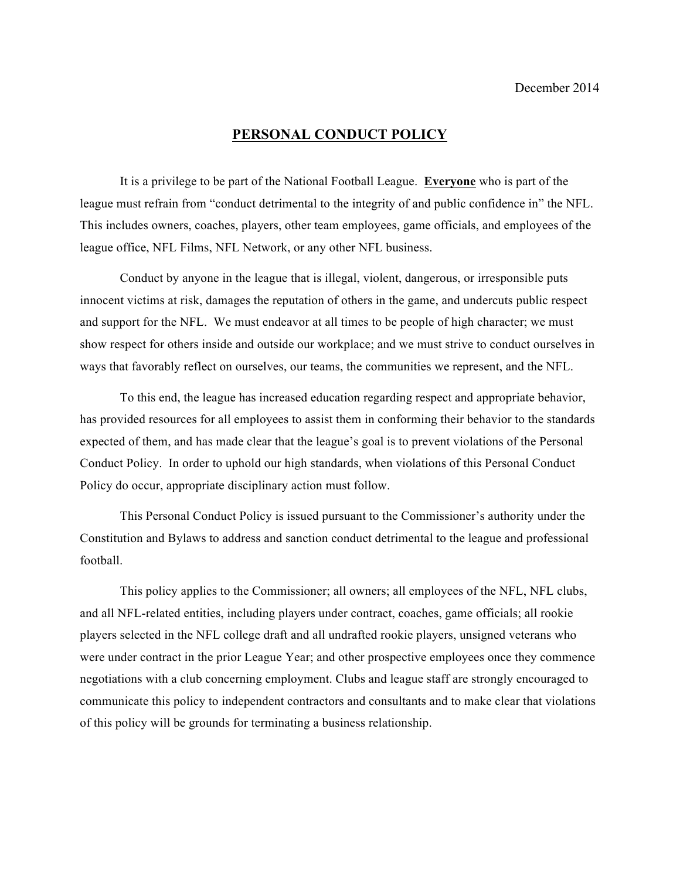## **PERSONAL CONDUCT POLICY**

It is a privilege to be part of the National Football League. **Everyone** who is part of the league must refrain from "conduct detrimental to the integrity of and public confidence in" the NFL. This includes owners, coaches, players, other team employees, game officials, and employees of the league office, NFL Films, NFL Network, or any other NFL business.

Conduct by anyone in the league that is illegal, violent, dangerous, or irresponsible puts innocent victims at risk, damages the reputation of others in the game, and undercuts public respect and support for the NFL. We must endeavor at all times to be people of high character; we must show respect for others inside and outside our workplace; and we must strive to conduct ourselves in ways that favorably reflect on ourselves, our teams, the communities we represent, and the NFL.

To this end, the league has increased education regarding respect and appropriate behavior, has provided resources for all employees to assist them in conforming their behavior to the standards expected of them, and has made clear that the league's goal is to prevent violations of the Personal Conduct Policy. In order to uphold our high standards, when violations of this Personal Conduct Policy do occur, appropriate disciplinary action must follow.

This Personal Conduct Policy is issued pursuant to the Commissioner's authority under the Constitution and Bylaws to address and sanction conduct detrimental to the league and professional football.

This policy applies to the Commissioner; all owners; all employees of the NFL, NFL clubs, and all NFL-related entities, including players under contract, coaches, game officials; all rookie players selected in the NFL college draft and all undrafted rookie players, unsigned veterans who were under contract in the prior League Year; and other prospective employees once they commence negotiations with a club concerning employment. Clubs and league staff are strongly encouraged to communicate this policy to independent contractors and consultants and to make clear that violations of this policy will be grounds for terminating a business relationship.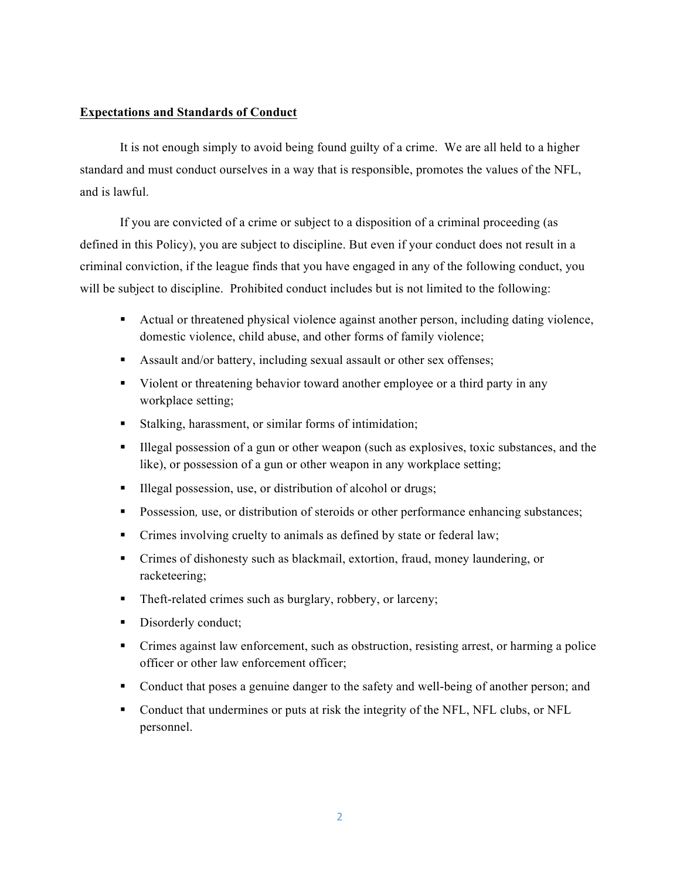## **Expectations and Standards of Conduct**

It is not enough simply to avoid being found guilty of a crime. We are all held to a higher standard and must conduct ourselves in a way that is responsible, promotes the values of the NFL, and is lawful.

If you are convicted of a crime or subject to a disposition of a criminal proceeding (as defined in this Policy), you are subject to discipline. But even if your conduct does not result in a criminal conviction, if the league finds that you have engaged in any of the following conduct, you will be subject to discipline. Prohibited conduct includes but is not limited to the following:

- Actual or threatened physical violence against another person, including dating violence, domestic violence, child abuse, and other forms of family violence;
- **•** Assault and/or battery, including sexual assault or other sex offenses;
- Violent or threatening behavior toward another employee or a third party in any workplace setting;
- Stalking, harassment, or similar forms of intimidation;
- § Illegal possession of a gun or other weapon (such as explosives, toxic substances, and the like), or possession of a gun or other weapon in any workplace setting;
- Illegal possession, use, or distribution of alcohol or drugs;
- Possession, use, or distribution of steroids or other performance enhancing substances;
- Crimes involving cruelty to animals as defined by state or federal law;
- § Crimes of dishonesty such as blackmail, extortion, fraud, money laundering, or racketeering;
- Theft-related crimes such as burglary, robbery, or larceny;
- Disorderly conduct;
- Crimes against law enforcement, such as obstruction, resisting arrest, or harming a police officer or other law enforcement officer;
- Conduct that poses a genuine danger to the safety and well-being of another person; and
- Conduct that undermines or puts at risk the integrity of the NFL, NFL clubs, or NFL personnel.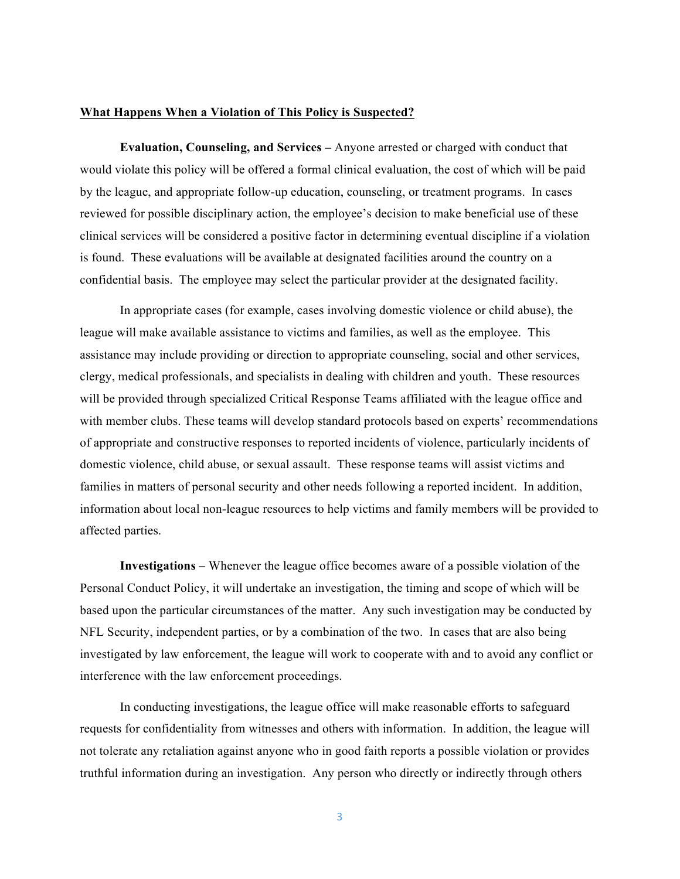## **What Happens When a Violation of This Policy is Suspected?**

**Evaluation, Counseling, and Services –** Anyone arrested or charged with conduct that would violate this policy will be offered a formal clinical evaluation, the cost of which will be paid by the league, and appropriate follow-up education, counseling, or treatment programs. In cases reviewed for possible disciplinary action, the employee's decision to make beneficial use of these clinical services will be considered a positive factor in determining eventual discipline if a violation is found.These evaluations will be available at designated facilities around the country on a confidential basis. The employee may select the particular provider at the designated facility.

In appropriate cases (for example, cases involving domestic violence or child abuse), the league will make available assistance to victims and families, as well as the employee. This assistance may include providing or direction to appropriate counseling, social and other services, clergy, medical professionals, and specialists in dealing with children and youth. These resources will be provided through specialized Critical Response Teams affiliated with the league office and with member clubs. These teams will develop standard protocols based on experts' recommendations of appropriate and constructive responses to reported incidents of violence, particularly incidents of domestic violence, child abuse, or sexual assault. These response teams will assist victims and families in matters of personal security and other needs following a reported incident. In addition, information about local non-league resources to help victims and family members will be provided to affected parties.

**Investigations –** Whenever the league office becomes aware of a possible violation of the Personal Conduct Policy, it will undertake an investigation, the timing and scope of which will be based upon the particular circumstances of the matter. Any such investigation may be conducted by NFL Security, independent parties, or by a combination of the two. In cases that are also being investigated by law enforcement, the league will work to cooperate with and to avoid any conflict or interference with the law enforcement proceedings.

In conducting investigations, the league office will make reasonable efforts to safeguard requests for confidentiality from witnesses and others with information. In addition, the league will not tolerate any retaliation against anyone who in good faith reports a possible violation or provides truthful information during an investigation. Any person who directly or indirectly through others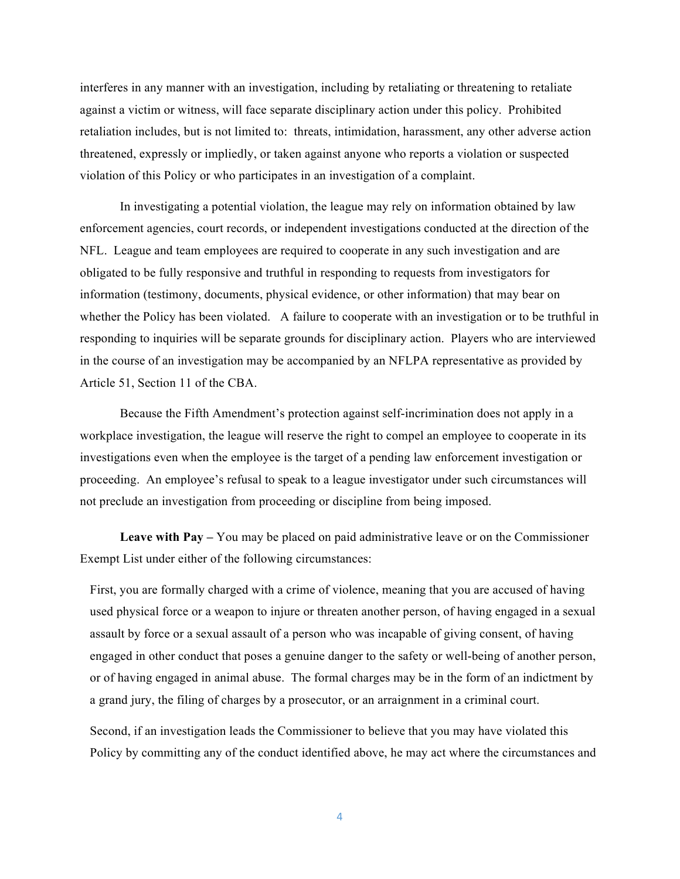interferes in any manner with an investigation, including by retaliating or threatening to retaliate against a victim or witness, will face separate disciplinary action under this policy. Prohibited retaliation includes, but is not limited to: threats, intimidation, harassment, any other adverse action threatened, expressly or impliedly, or taken against anyone who reports a violation or suspected violation of this Policy or who participates in an investigation of a complaint.

In investigating a potential violation, the league may rely on information obtained by law enforcement agencies, court records, or independent investigations conducted at the direction of the NFL. League and team employees are required to cooperate in any such investigation and are obligated to be fully responsive and truthful in responding to requests from investigators for information (testimony, documents, physical evidence, or other information) that may bear on whether the Policy has been violated. A failure to cooperate with an investigation or to be truthful in responding to inquiries will be separate grounds for disciplinary action. Players who are interviewed in the course of an investigation may be accompanied by an NFLPA representative as provided by Article 51, Section 11 of the CBA.

Because the Fifth Amendment's protection against self-incrimination does not apply in a workplace investigation, the league will reserve the right to compel an employee to cooperate in its investigations even when the employee is the target of a pending law enforcement investigation or proceeding. An employee's refusal to speak to a league investigator under such circumstances will not preclude an investigation from proceeding or discipline from being imposed.

**Leave with Pay –** You may be placed on paid administrative leave or on the Commissioner Exempt List under either of the following circumstances:

First, you are formally charged with a crime of violence, meaning that you are accused of having used physical force or a weapon to injure or threaten another person, of having engaged in a sexual assault by force or a sexual assault of a person who was incapable of giving consent, of having engaged in other conduct that poses a genuine danger to the safety or well-being of another person, or of having engaged in animal abuse. The formal charges may be in the form of an indictment by a grand jury, the filing of charges by a prosecutor, or an arraignment in a criminal court.

Second, if an investigation leads the Commissioner to believe that you may have violated this Policy by committing any of the conduct identified above, he may act where the circumstances and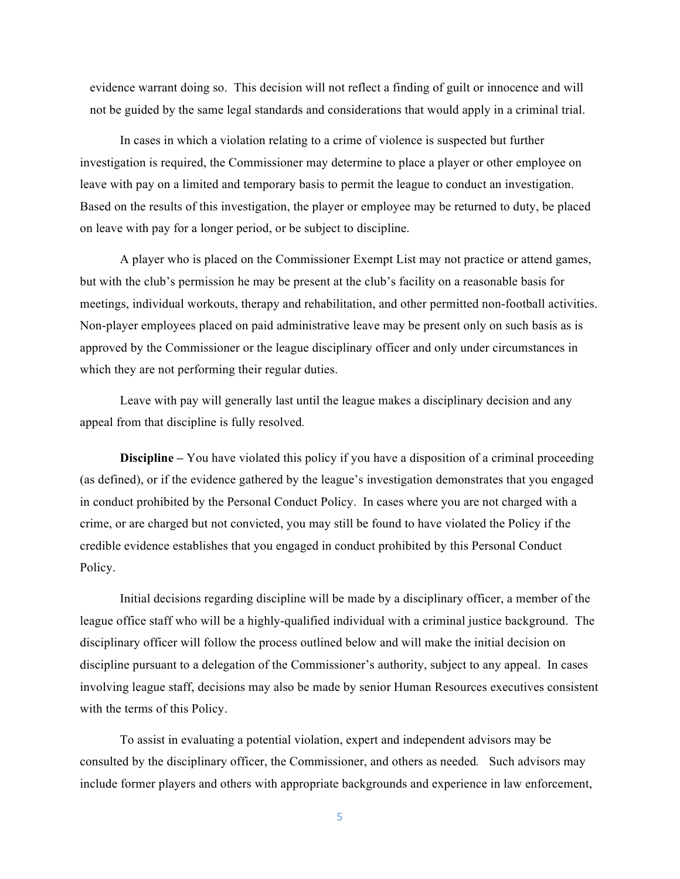evidence warrant doing so. This decision will not reflect a finding of guilt or innocence and will not be guided by the same legal standards and considerations that would apply in a criminal trial.

In cases in which a violation relating to a crime of violence is suspected but further investigation is required, the Commissioner may determine to place a player or other employee on leave with pay on a limited and temporary basis to permit the league to conduct an investigation. Based on the results of this investigation, the player or employee may be returned to duty, be placed on leave with pay for a longer period, or be subject to discipline.

A player who is placed on the Commissioner Exempt List may not practice or attend games, but with the club's permission he may be present at the club's facility on a reasonable basis for meetings, individual workouts, therapy and rehabilitation, and other permitted non-football activities. Non-player employees placed on paid administrative leave may be present only on such basis as is approved by the Commissioner or the league disciplinary officer and only under circumstances in which they are not performing their regular duties.

Leave with pay will generally last until the league makes a disciplinary decision and any appeal from that discipline is fully resolved*.* 

**Discipline** – You have violated this policy if you have a disposition of a criminal proceeding (as defined), or if the evidence gathered by the league's investigation demonstrates that you engaged in conduct prohibited by the Personal Conduct Policy. In cases where you are not charged with a crime, or are charged but not convicted, you may still be found to have violated the Policy if the credible evidence establishes that you engaged in conduct prohibited by this Personal Conduct Policy.

Initial decisions regarding discipline will be made by a disciplinary officer, a member of the league office staff who will be a highly-qualified individual with a criminal justice background. The disciplinary officer will follow the process outlined below and will make the initial decision on discipline pursuant to a delegation of the Commissioner's authority, subject to any appeal. In cases involving league staff, decisions may also be made by senior Human Resources executives consistent with the terms of this Policy.

To assist in evaluating a potential violation, expert and independent advisors may be consulted by the disciplinary officer, the Commissioner, and others as needed*.* Such advisors may include former players and others with appropriate backgrounds and experience in law enforcement,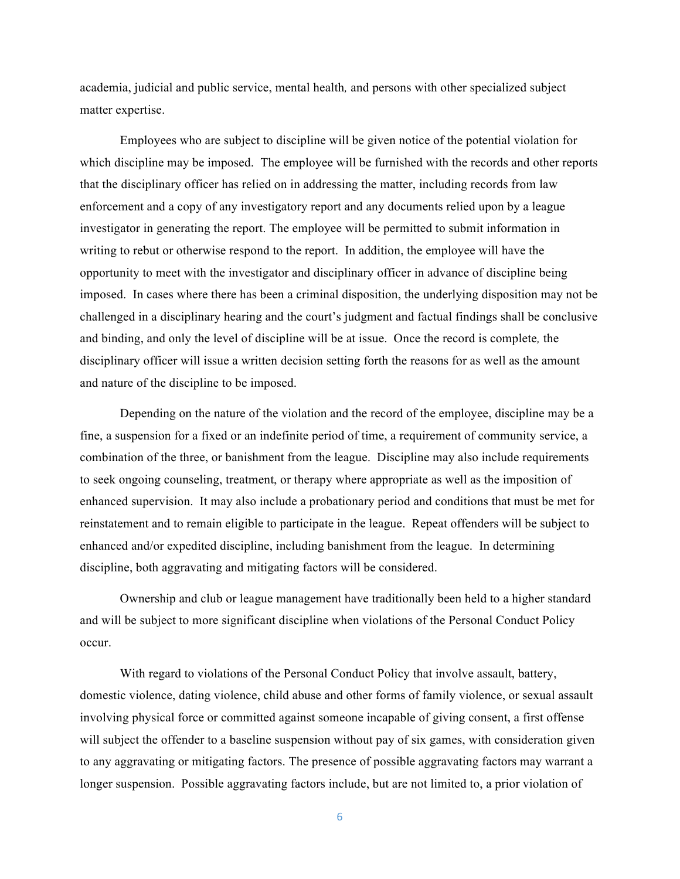academia, judicial and public service, mental health*,* and persons with other specialized subject matter expertise.

Employees who are subject to discipline will be given notice of the potential violation for which discipline may be imposed. The employee will be furnished with the records and other reports that the disciplinary officer has relied on in addressing the matter, including records from law enforcement and a copy of any investigatory report and any documents relied upon by a league investigator in generating the report. The employee will be permitted to submit information in writing to rebut or otherwise respond to the report. In addition, the employee will have the opportunity to meet with the investigator and disciplinary officer in advance of discipline being imposed. In cases where there has been a criminal disposition, the underlying disposition may not be challenged in a disciplinary hearing and the court's judgment and factual findings shall be conclusive and binding, and only the level of discipline will be at issue. Once the record is complete*,* the disciplinary officer will issue a written decision setting forth the reasons for as well as the amount and nature of the discipline to be imposed.

Depending on the nature of the violation and the record of the employee, discipline may be a fine, a suspension for a fixed or an indefinite period of time, a requirement of community service, a combination of the three, or banishment from the league. Discipline may also include requirements to seek ongoing counseling, treatment, or therapy where appropriate as well as the imposition of enhanced supervision. It may also include a probationary period and conditions that must be met for reinstatement and to remain eligible to participate in the league. Repeat offenders will be subject to enhanced and/or expedited discipline, including banishment from the league. In determining discipline, both aggravating and mitigating factors will be considered.

Ownership and club or league management have traditionally been held to a higher standard and will be subject to more significant discipline when violations of the Personal Conduct Policy occur.

With regard to violations of the Personal Conduct Policy that involve assault, battery, domestic violence, dating violence, child abuse and other forms of family violence, or sexual assault involving physical force or committed against someone incapable of giving consent, a first offense will subject the offender to a baseline suspension without pay of six games, with consideration given to any aggravating or mitigating factors. The presence of possible aggravating factors may warrant a longer suspension. Possible aggravating factors include, but are not limited to, a prior violation of

<sup>6</sup>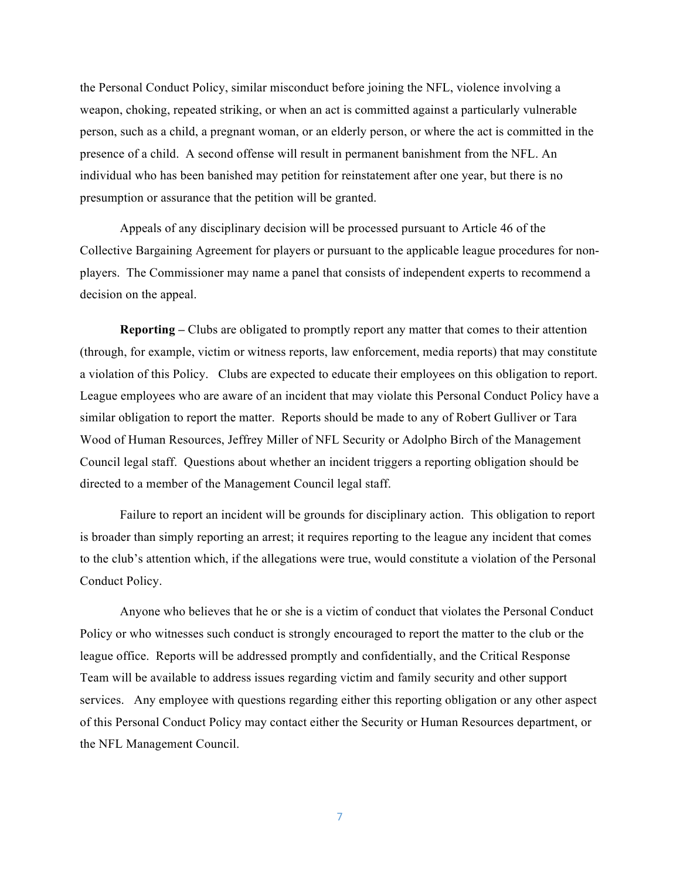the Personal Conduct Policy, similar misconduct before joining the NFL, violence involving a weapon, choking, repeated striking, or when an act is committed against a particularly vulnerable person, such as a child, a pregnant woman, or an elderly person, or where the act is committed in the presence of a child. A second offense will result in permanent banishment from the NFL. An individual who has been banished may petition for reinstatement after one year, but there is no presumption or assurance that the petition will be granted.

Appeals of any disciplinary decision will be processed pursuant to Article 46 of the Collective Bargaining Agreement for players or pursuant to the applicable league procedures for nonplayers. The Commissioner may name a panel that consists of independent experts to recommend a decision on the appeal.

**Reporting –** Clubs are obligated to promptly report any matter that comes to their attention (through, for example, victim or witness reports, law enforcement, media reports) that may constitute a violation of this Policy. Clubs are expected to educate their employees on this obligation to report. League employees who are aware of an incident that may violate this Personal Conduct Policy have a similar obligation to report the matter. Reports should be made to any of Robert Gulliver or Tara Wood of Human Resources, Jeffrey Miller of NFL Security or Adolpho Birch of the Management Council legal staff. Questions about whether an incident triggers a reporting obligation should be directed to a member of the Management Council legal staff.

Failure to report an incident will be grounds for disciplinary action. This obligation to report is broader than simply reporting an arrest; it requires reporting to the league any incident that comes to the club's attention which, if the allegations were true, would constitute a violation of the Personal Conduct Policy.

Anyone who believes that he or she is a victim of conduct that violates the Personal Conduct Policy or who witnesses such conduct is strongly encouraged to report the matter to the club or the league office. Reports will be addressed promptly and confidentially, and the Critical Response Team will be available to address issues regarding victim and family security and other support services. Any employee with questions regarding either this reporting obligation or any other aspect of this Personal Conduct Policy may contact either the Security or Human Resources department, or the NFL Management Council.